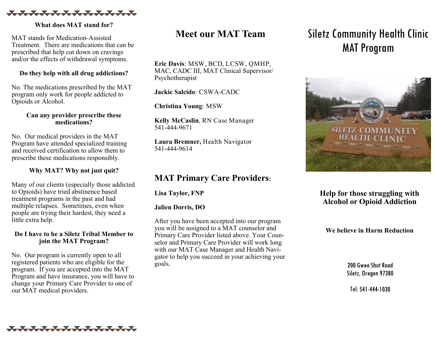

**What does MAT stand for?**

MAT stands for Medication-Assisted Treatment. There are medications that can be prescribed that help cut down on cravings and/or the effects of withdrawal symptoms.

## **Do they help with all drug addictions?**

No. The medications prescribed by the MAT program only work for people addicted to Opioids or Alcohol.

### **Can any provider prescribe these medications?**

No. Our medical providers in the MAT Program have attended specialized training and received certification to allow them to prescribe these medications responsibly.

## **Why MAT? Why not just quit?**

Many of our clients (especially those addicted to Opioids) have tried abstinence based treatment programs in the past and had multiple relapses. Sometimes, even when people are trying their hardest, they need a little extra help.

### **Do I have to be a Siletz Tribal Member to join the MAT Program?**

No. Our program is currently open to all registered patients who are eligible for the program. If you are accepted into the MAT Program and have insurance, you will have to change your Primary Care Provider to one of our MAT medical providers.

# **Meet our MAT Team**

**Eric Davis**: MSW, BCD, LCSW, QMHP, MAC, CADC III, MAT Clinical Supervisor/ Psychotherapist

**Jackie Salcido**: CSWA-CADC

**Christina Young**: MSW

**Kelly McCaslin**, RN Case Manager 541-444-9671

**Laura Bremner,** Health Navigator 541-444-9614

## **MAT Primary Care Providers:**

**Lisa Taylor, FNP**

## **Jalien Dorris, DO**

After you have been accepted into our program you will be assigned to a MAT counselor and Primary Care Provider listed above. Your Counselor and Primary Care Provider will work long with our MAT Case Manager and Health Navigator to help you succeed in your achieving your goals.

# Siletz Community Health Clinic MAT Program



## **Help for those struggling with Alcohol or Opioid Addiction**

**We believe in Harm Reduction**

200 Gwee Shut Road Siletz, Oregon 97380

Tel: 541-444-1030